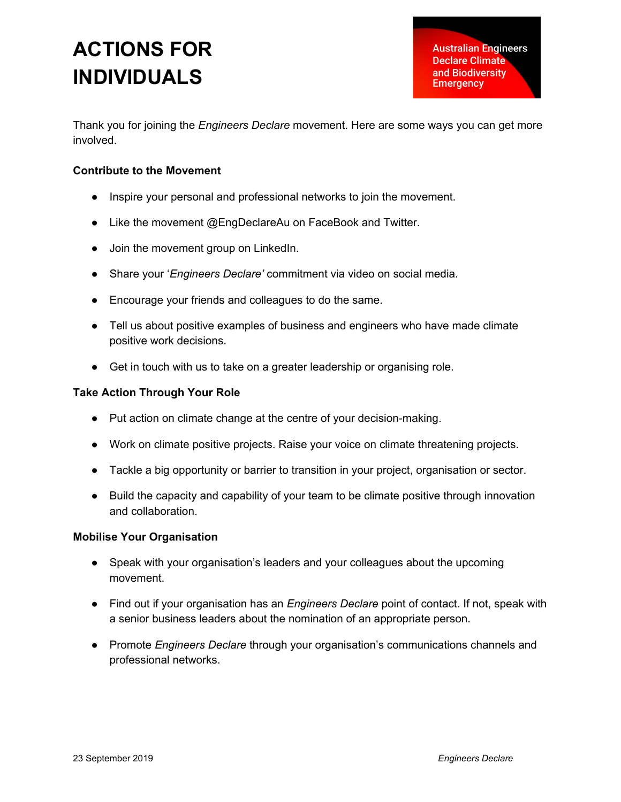# **ACTIONS FOR INDIVIDUALS**

Thank you for joining the *Engineers Declare* movement. Here are some ways you can get more involved.

### **Contribute to the Movement**

- Inspire your personal and professional networks to join the movement.
- Like the movement @EngDeclareAu on FaceBook and Twitter.
- Join the movement group on LinkedIn.
- Share your '*Engineers Declare'* commitment via video on social media.
- Encourage your friends and colleagues to do the same.
- Tell us about positive examples of business and engineers who have made climate positive work decisions.
- Get in touch with us to take on a greater leadership or organising role.

### **Take Action Through Your Role**

- Put action on climate change at the centre of your decision-making.
- Work on climate positive projects. Raise your voice on climate threatening projects.
- Tackle a big opportunity or barrier to transition in your project, organisation or sector.
- Build the capacity and capability of your team to be climate positive through innovation and collaboration.

#### **Mobilise Your Organisation**

- Speak with your organisation's leaders and your colleagues about the upcoming movement.
- Find out if your organisation has an *Engineers Declare* point of contact. If not, speak with a senior business leaders about the nomination of an appropriate person.
- Promote *Engineers Declare* through your organisation's communications channels and professional networks.